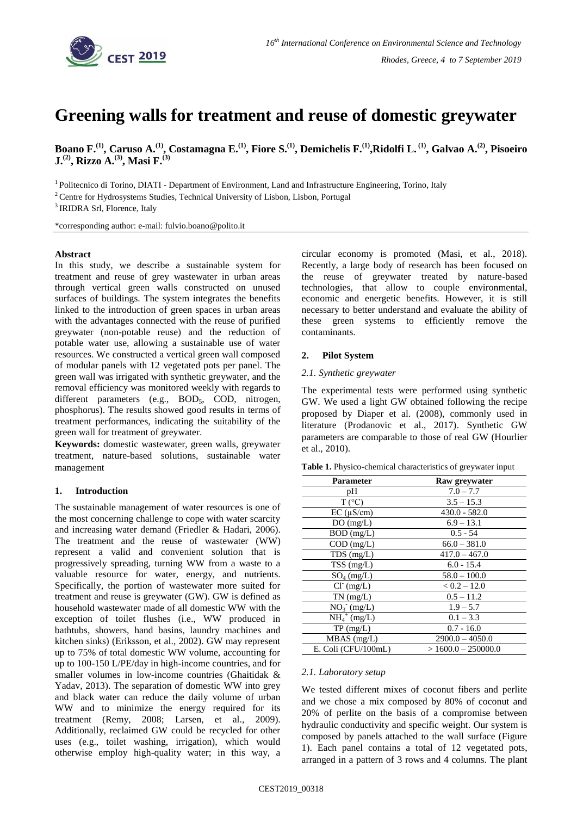

# **Greening walls for treatment and reuse of domestic greywater**

Boano F.<sup>(1)</sup>, Caruso A.<sup>(1)</sup>, Costamagna E.<sup>(1)</sup>, Fiore S.<sup>(1)</sup>, Demichelis F.<sup>(1)</sup>,Ridolfi L. <sup>(1)</sup>, Galvao A.<sup>(2)</sup>, Pisoeiro **J.(2) , Rizzo A.(3) , Masi F.(3)**

<sup>1</sup> Politecnico di Torino, DIATI - Department of Environment, Land and Infrastructure Engineering, Torino, Italy

<sup>2</sup> Centre for Hydrosystems Studies, Technical University of Lisbon, Lisbon, Portugal

<sup>3</sup> IRIDRA Srl, Florence, Italy

\*corresponding author: e-mail: fulvio.boano@polito.it

# **Abstract**

In this study, we describe a sustainable system for treatment and reuse of grey wastewater in urban areas through vertical green walls constructed on unused surfaces of buildings. The system integrates the benefits linked to the introduction of green spaces in urban areas with the advantages connected with the reuse of purified greywater (non-potable reuse) and the reduction of potable water use, allowing a sustainable use of water resources. We constructed a vertical green wall composed of modular panels with 12 vegetated pots per panel. The green wall was irrigated with synthetic greywater, and the removal efficiency was monitored weekly with regards to different parameters  $(e.g., BOD<sub>5</sub>, COD, nitrogen,$ phosphorus). The results showed good results in terms of treatment performances, indicating the suitability of the green wall for treatment of greywater.

**Keywords:** domestic wastewater, green walls, greywater treatment, nature-based solutions, sustainable water management

# **1. Introduction**

The sustainable management of water resources is one of the most concerning challenge to cope with water scarcity and increasing water demand (Friedler & Hadari, 2006). The treatment and the reuse of wastewater (WW) represent a valid and convenient solution that is progressively spreading, turning WW from a waste to a valuable resource for water, energy, and nutrients. Specifically, the portion of wastewater more suited for treatment and reuse is greywater (GW). GW is defined as household wastewater made of all domestic WW with the exception of toilet flushes (i.e., WW produced in bathtubs, showers, hand basins, laundry machines and kitchen sinks) (Eriksson, et al., 2002). GW may represent up to 75% of total domestic WW volume, accounting for up to 100-150 L/PE/day in high-income countries, and for smaller volumes in low-income countries (Ghaitidak & Yadav, 2013). The separation of domestic WW into grey and black water can reduce the daily volume of urban WW and to minimize the energy required for its treatment (Remy, 2008; Larsen, et al., 2009). Additionally, reclaimed GW could be recycled for other uses (e.g., toilet washing, irrigation), which would otherwise employ high-quality water; in this way, a circular economy is promoted (Masi, et al., 2018). Recently, a large body of research has been focused on the reuse of greywater treated by nature-based technologies, that allow to couple environmental, economic and energetic benefits. However, it is still necessary to better understand and evaluate the ability of these green systems to efficiently remove the contaminants.

# **2. Pilot System**

#### *2.1. Synthetic greywater*

The experimental tests were performed using synthetic GW. We used a light GW obtained following the recipe proposed by Diaper et al. (2008), commonly used in literature (Prodanovic et al., 2017). Synthetic GW parameters are comparable to those of real GW (Hourlier et al., 2010).

|  |  |  |  |  | Table 1. Physico-chemical characteristics of greywater input |  |
|--|--|--|--|--|--------------------------------------------------------------|--|
|  |  |  |  |  |                                                              |  |

| Parameter           | Raw greywater        |
|---------------------|----------------------|
| pН                  | $7.0 - 7.7$          |
| $T(^{\circ}C)$      | $3.5 - 15.3$         |
| $EC (\mu S/cm)$     | $430.0 - 582.0$      |
| DO(mg/L)            | $6.9 - 13.1$         |
| $BOD$ (mg/L)        | $0.5 - 54$           |
| $COD$ (mg/L)        | $66.0 - 381.0$       |
| $TDS$ (mg/L)        | $417.0 - 467.0$      |
| $TSS$ (mg/L)        | $6.0 - 15.4$         |
| $SO_4$ (mg/L)       | $58.0 - 100.0$       |
| $Cl^{(mg/L)}$       | $< 0.2 - 12.0$       |
| $TN$ (mg/L)         | $0.5 - 11.2$         |
| $NO_3$ (mg/L)       | $1.9 - 5.7$          |
| $NH_4^+$ (mg/L)     | $0.1 - 3.3$          |
| $TP \, (mg/L)$      | $0.7 - 16.0$         |
| MBAS (mg/L)         | $2900.0 - 4050.0$    |
| E. Coli (CFU/100mL) | $>1600.0 - 250000.0$ |

# *2.1. Laboratory setup*

We tested different mixes of coconut fibers and perlite and we chose a mix composed by 80% of coconut and 20% of perlite on the basis of a compromise between hydraulic conductivity and specific weight. Our system is composed by panels attached to the wall surface (Figure 1). Each panel contains a total of 12 vegetated pots, arranged in a pattern of 3 rows and 4 columns. The plant